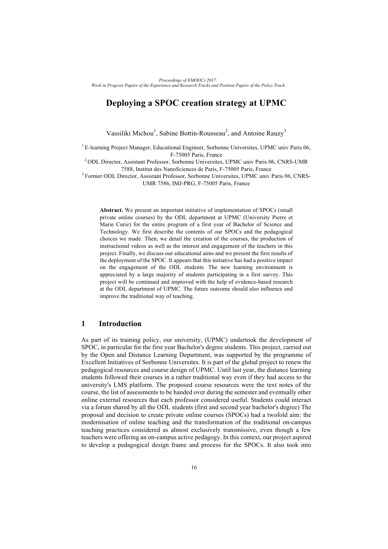# **Deploying a SPOC creation strategy at UPMC**

Vassiliki Michou<sup>1</sup>, Sabine Bottin-Rousseau<sup>2</sup>, and Antoine Rauzy<sup>3</sup>

<sup>1</sup> E-learning Project Manager, Educational Engineer, Sorbonne Universites, UPMC univ Paris 06, F-75005 Paris, France

2 ODL Director, Assistant Professor, Sorbonne Universites, UPMC univ Paris 06, CNRS-UMR 7588, Institut des NanoSciences de Paris, F-75005 Paris, France

3 Former ODL Director, Assistant Professor, Sorbonne Universites, UPMC univ Paris 06, CNRS-UMR 7586, IMJ-PRG, F-75005 Paris, France

**Abstract.** We present an important initiative of implementation of SPOCs (small private online courses) by the ODL department at UPMC (University Pierre et Marie Curie) for the entire program of a first year of Bachelor of Science and Technology. We first describe the contents of our SPOCs and the pedagogical choices we made. Then, we detail the creation of the courses, the production of instructional videos as well as the interest and engagement of the teachers in this project. Finally, we discuss our educational aims and we present the first results of the deployment of the SPOC. It appears that this initiative has had a positive impact on the engagement of the ODL students. The new learning environment is appreciated by a large majority of students participating in a first survey. This project will be continued and improved with the help of evidence-based research at the ODL department of UPMC. The future outcome should also influence and improve the traditional way of teaching.

## **1 Introduction**

As part of its training policy, our university, (UPMC) undertook the development of SPOC, in particular for the first year Bachelor's degree students. This project, carried out by the Open and Distance Learning Department, was supported by the programme of Excellent Initiatives of Sorbonne Universites. It is part of the global project to renew the pedagogical resources and course design of UPMC. Until last year, the distance learning students followed their courses in a rather traditional way even if they had access to the university's LMS platform. The proposed course resources were the text notes of the course, the list of assessments to be handed over during the semester and eventually other online external resources that each professor considered useful. Students could interact via a forum shared by all the ODL students (first and second year bachelor's degree) The proposal and decision to create private online courses (SPOCs) had a twofold aim: the modernisation of online teaching and the transformation of the traditional on-campus teaching practices considered as almost exclusively transmissive, even though a few teachers were offering an on-campus active pedagogy. In this context, our project aspired to develop a pedagogical design frame and process for the SPOCs. It also took into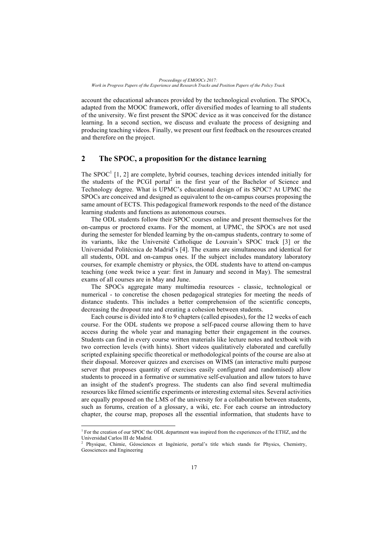account the educational advances provided by the technological evolution. The SPOCs, adapted from the MOOC framework, offer diversified modes of learning to all students of the university. We first present the SPOC device as it was conceived for the distance learning. In a second section, we discuss and evaluate the process of designing and producing teaching videos. Finally, we present our first feedback on the resources created and therefore on the project.

## **2 The SPOC, a proposition for the distance learning**

The SPOC<sup>1</sup> [1, 2] are complete, hybrid courses, teaching devices intended initially for the students of the PCGI portal<sup>2</sup> in the first year of the Bachelor of Science and Technology degree. What is UPMC's educational design of its SPOC? At UPMC the SPOCs are conceived and designed as equivalent to the on-campus courses proposing the same amount of ECTS. This pedagogical framework responds to the need of the distance learning students and functions as autonomous courses.

The ODL students follow their SPOC courses online and present themselves for the on-campus or proctored exams. For the moment, at UPMC, the SPOCs are not used during the semester for blended learning by the on-campus students, contrary to some of its variants, like the Université Catholique de Louvain's SPOC track [3] or the Universidad Politécnica de Madrid's [4]. The exams are simultaneous and identical for all students, ODL and on-campus ones. If the subject includes mandatory laboratory courses, for example chemistry or physics, the ODL students have to attend on-campus teaching (one week twice a year: first in January and second in May). The semestral exams of all courses are in May and June.

The SPOCs aggregate many multimedia resources - classic, technological or numerical - to concretise the chosen pedagogical strategies for meeting the needs of distance students. This includes a better comprehension of the scientific concepts, decreasing the dropout rate and creating a cohesion between students.

Each course is divided into 8 to 9 chapters (called episodes), for the 12 weeks of each course. For the ODL students we propose a self-paced course allowing them to have access during the whole year and managing better their engagement in the courses. Students can find in every course written materials like lecture notes and textbook with two correction levels (with hints). Short videos qualitatively elaborated and carefully scripted explaining specific theoretical or methodological points of the course are also at their disposal. Moreover quizzes and exercises on WIMS (an interactive multi purpose server that proposes quantity of exercises easily configured and randomised) allow students to proceed in a formative or summative self-evaluation and allow tutors to have an insight of the student's progress. The students can also find several multimedia resources like filmed scientific experiments or interesting external sites. Several activities are equally proposed on the LMS of the university for a collaboration between students, such as forums, creation of a glossary, a wiki, etc. For each course an introductory chapter, the course map, proposes all the essential information, that students have to

 

<sup>&</sup>lt;sup>1</sup> For the creation of our SPOC the ODL department was inspired from the experiences of the ETHZ, and the Universidad Carlos III de Madrid.

<sup>&</sup>lt;sup>2</sup> Physique, Chimie, Géosciences et Ingénierie, portal's title which stands for Physics, Chemistry, Geosciences and Engineering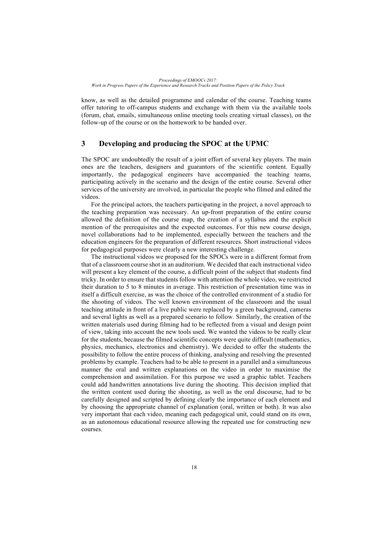know, as well as the detailed programme and calendar of the course. Teaching teams offer tutoring to off-campus students and exchange with them via the available tools (forum, chat, emails, simultaneous online meeting tools creating virtual classes), on the follow-up of the course or on the homework to be handed over.

### **3 Developing and producing the SPOC at the UPMC**

The SPOC are undoubtedly the result of a joint effort of several key players. The main ones are the teachers, designers and guarantors of the scientific content. Equally importantly, the pedagogical engineers have accompanied the teaching teams, participating actively in the scenario and the design of the entire course. Several other services of the university are involved, in particular the people who filmed and edited the videos.

For the principal actors, the teachers participating in the project, a novel approach to the teaching preparation was necessary. An up-front preparation of the entire course allowed the definition of the course map, the creation of a syllabus and the explicit mention of the prerequisites and the expected outcomes. For this new course design, novel collaborations had to be implemented, especially between the teachers and the education engineers for the preparation of different resources. Short instructional videos for pedagogical purposes were clearly a new interesting challenge.

The instructional videos we proposed for the SPOCs were in a different format from that of a classroom course shot in an auditorium. We decided that each instructional video will present a key element of the course, a difficult point of the subject that students find tricky. In order to ensure that students follow with attention the whole video, we restricted their duration to 5 to 8 minutes in average. This restriction of presentation time was in itself a difficult exercise, as was the choice of the controlled environment of a studio for the shooting of videos. The well known environment of the classroom and the usual teaching attitude in front of a live public were replaced by a green background, cameras and several lights as well as a prepared scenario to follow. Similarly, the creation of the written materials used during filming had to be reflected from a visual and design point of view, taking into account the new tools used. We wanted the videos to be really clear for the students, because the filmed scientific concepts were quite difficult (mathematics, physics, mechanics, electronics and chemistry). We decided to offer the students the possibility to follow the entire process of thinking, analysing and resolving the presented problems by example. Teachers had to be able to present in a parallel and a simultaneous manner the oral and written explanations on the video in order to maximise the comprehension and assimilation. For this purpose we used a graphic tablet. Teachers could add handwritten annotations live during the shooting. This decision implied that the written content used during the shooting, as well as the oral discourse, had to be carefully designed and scripted by defining clearly the importance of each element and by choosing the appropriate channel of explanation (oral, written or both). It was also very important that each video, meaning each pedagogical unit, could stand on its own, as an autonomous educational resource allowing the repeated use for constructing new courses.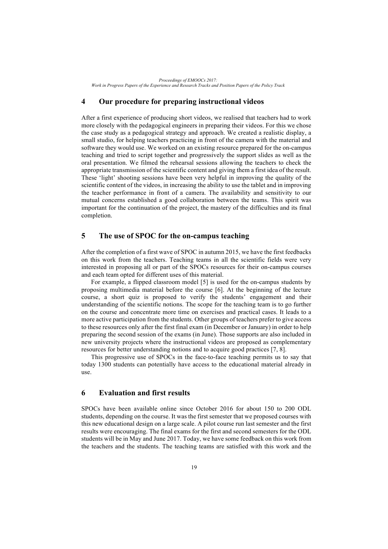*Proceedings of EMOOCs 2017: Work in Progress Papers of the Experience and Research Tracks and Position Papers of the Policy Track*

### **4 Our procedure for preparing instructional videos**

After a first experience of producing short videos, we realised that teachers had to work more closely with the pedagogical engineers in preparing their videos. For this we chose the case study as a pedagogical strategy and approach. We created a realistic display, a small studio, for helping teachers practicing in front of the camera with the material and software they would use. We worked on an existing resource prepared for the on-campus teaching and tried to script together and progressively the support slides as well as the oral presentation. We filmed the rehearsal sessions allowing the teachers to check the appropriate transmission of the scientific content and giving them a first idea of the result. These 'light' shooting sessions have been very helpful in improving the quality of the scientific content of the videos, in increasing the ability to use the tablet and in improving the teacher performance in front of a camera. The availability and sensitivity to our mutual concerns established a good collaboration between the teams. This spirit was important for the continuation of the project, the mastery of the difficulties and its final completion.

### **5 The use of SPOC for the on-campus teaching**

After the completion of a first wave of SPOC in autumn 2015, we have the first feedbacks on this work from the teachers. Teaching teams in all the scientific fields were very interested in proposing all or part of the SPOCs resources for their on-campus courses and each team opted for different uses of this material.

For example, a flipped classroom model [5] is used for the on-campus students by proposing multimedia material before the course [6]. At the beginning of the lecture course, a short quiz is proposed to verify the students' engagement and their understanding of the scientific notions. The scope for the teaching team is to go further on the course and concentrate more time on exercises and practical cases. It leads to a more active participation from the students. Other groups of teachers prefer to give access to these resources only after the first final exam (in December or January) in order to help preparing the second session of the exams (in June). Those supports are also included in new university projects where the instructional videos are proposed as complementary resources for better understanding notions and to acquire good practices [7, 8].

This progressive use of SPOCs in the face-to-face teaching permits us to say that today 1300 students can potentially have access to the educational material already in use.

#### **6 Evaluation and first results**

SPOCs have been available online since October 2016 for about 150 to 200 ODL students, depending on the course. It was the first semester that we proposed courses with this new educational design on a large scale. A pilot course run last semester and the first results were encouraging. The final exams for the first and second semesters for the ODL students will be in May and June 2017. Today, we have some feedback on this work from the teachers and the students. The teaching teams are satisfied with this work and the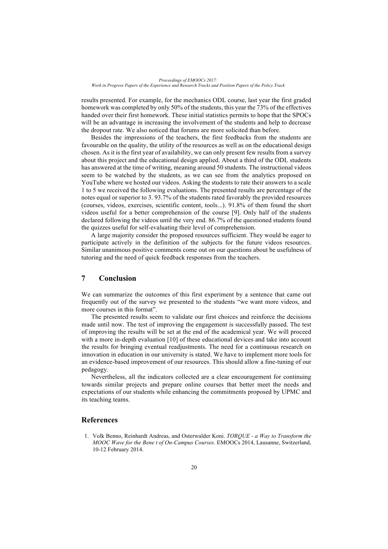results presented. For example, for the mechanics ODL course, last year the first graded homework was completed by only 50% of the students, this year the 73% of the effectives handed over their first homework. These initial statistics permits to hope that the SPOCs will be an advantage in increasing the involvement of the students and help to decrease the dropout rate. We also noticed that forums are more solicited than before.

Besides the impressions of the teachers, the first feedbacks from the students are favourable on the quality, the utility of the resources as well as on the educational design chosen. As it is the first year of availability, we can only present few results from a survey about this project and the educational design applied. About a third of the ODL students has answered at the time of writing, meaning around 50 students. The instructional videos seem to be watched by the students, as we can see from the analytics proposed on YouTube where we hosted our videos. Asking the students to rate their answers to a scale 1 to 5 we received the following evaluations. The presented results are percentage of the notes equal or superior to 3. 93.7% of the students rated favorably the provided resources (courses, videos, exercises, scientific content, tools...). 91.8% of them found the short videos useful for a better comprehension of the course [9]. Only half of the students declared following the videos until the very end. 86.7% of the questioned students found the quizzes useful for self-evaluating their level of comprehension.

A large majority consider the proposed resources sufficient. They would be eager to participate actively in the definition of the subjects for the future videos resources. Similar unanimous positive comments come out on our questions about be usefulness of tutoring and the need of quick feedback responses from the teachers.

# **7 Conclusion**

We can summarize the outcomes of this first experiment by a sentence that came out frequently out of the survey we presented to the students "we want more videos, and more courses in this format".

The presented results seem to validate our first choices and reinforce the decisions made until now. The test of improving the engagement is successfully passed. The test of improving the results will be set at the end of the academical year. We will proceed with a more in-depth evaluation [10] of these educational devices and take into account the results for bringing eventual readjustments. The need for a continuous research on innovation in education in our university is stated. We have to implement more tools for an evidence-based improvement of our resources. This should allow a fine-tuning of our pedagogy.

Nevertheless, all the indicators collected are a clear encouragement for continuing towards similar projects and prepare online courses that better meet the needs and expectations of our students while enhancing the commitments proposed by UPMC and its teaching teams.

### **References**

1. Volk Benno, Reinhardt Andreas, and Osterwalder Koni. *TORQUE - a Way to Transform the MOOC Wave for the Bene t of On-Campus Courses*. EMOOCs 2014, Lausanne, Switzerland, 10-12 February 2014.